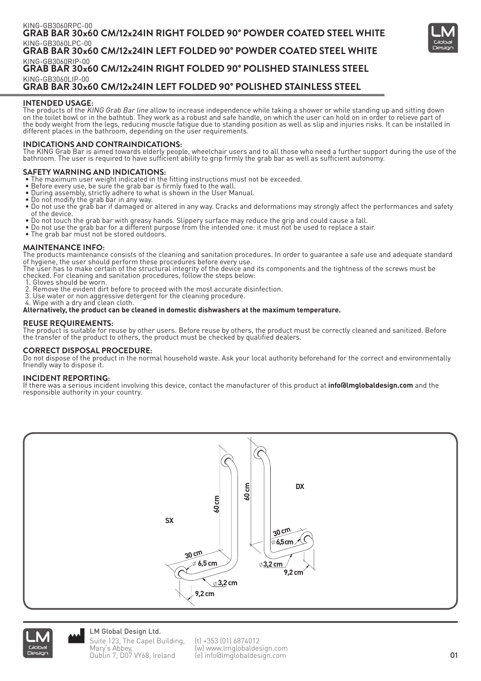

## **INTENDED USAGE:**

The products of the KING Grab Bar line allow to increase independence while taking a shower or while standing up and sitting down on the toilet bowl or in the bathtub. They work as a robust and safe handle, on which the user can hold on in order to relieve part of the body weight from the legs, reducing muscle fatigue due to standing position as well as slip and injuries risks. It can be installed in different places in the bathroom, depending on the user requirements.

# **INDICATIONS AND CONTRAINDICATIONS:**

The KING Grab Bar is aimed towards elderly people, wheelchair users and to all those who need a further support during the use of the bathroom. The user is required to have sufficient ability to grip firmly the grab bar as well as sufficient autonomy.

## **SAFETY WARNING AND INDICATIONS:**

- The maximum user weight indicated in the fitting instructions must not be exceeded.<br>• Before every use, be sure the grab bar is firmly fixed to the wall.
- Before every use, be sure the grab bar is firmly fixed to the wall.
- During assembly, strictly adhere to what is shown in the User Manual.
- Do not modify the grab bar in any way.
- Do not use the grab bar if damaged or altered in any way. Cracks and deformations may strongly affect the performances and safety of the device.
- Do not touch the grab bar with greasy hands. Slippery surface may reduce the grip and could cause a fall.
- Do not use the grab bar for a different purpose from the intended one: it must not be used to replace a stair.
- The grab bar must not be stored outdoors.

#### **MAINTENANCE INFO:**

The products maintenance consists of the cleaning and sanitation procedures. In order to guarantee a safe use and adequate standard of hygiene, the user should perform these procedures before every use.

The user has to make certain of the structural integrity of the device and its components and the tightness of the screws must be checked. For cleaning and sanitation procedures, follow the steps below:

- 1. Gloves should be worn.
- 2. Remove the evident dirt before to proceed with the most accurate disinfection.
- 3. Use water or non aggressive detergent for the cleaning procedure.
- 4. Wipe with a dry and clean cloth.

#### **Alternatively, the product can be cleaned in domestic dishwashers at the maximum temperature.**

#### **REUSE REQUIREMENTS:**

The product is suitable for reuse by other users. Before reuse by others, the product must be correctly cleaned and sanitized. Before the transfer of the product to others, the product must be checked by qualified dealers.

#### **CORRECT DISPOSAL PROCEDURE:**

Do not dispose of the product in the normal household waste. Ask your local authority beforehand for the correct and environmentally friendly way to dispose it.

#### **INCIDENT REPORTING:**

If there was a serious incident involving this device, contact the manufacturer of this product at **info@lmglobaldesign.com** and the responsible authority in your country.





LM Global Design Ltd. Suite 123, The Capel Building, Mary's Abbey, Dublin 7, D07 VY68, Ireland

(t) +353 (01) 6874012 (w) www.lmglobaldesign.com (e) info@lmglobaldesign.com **01**